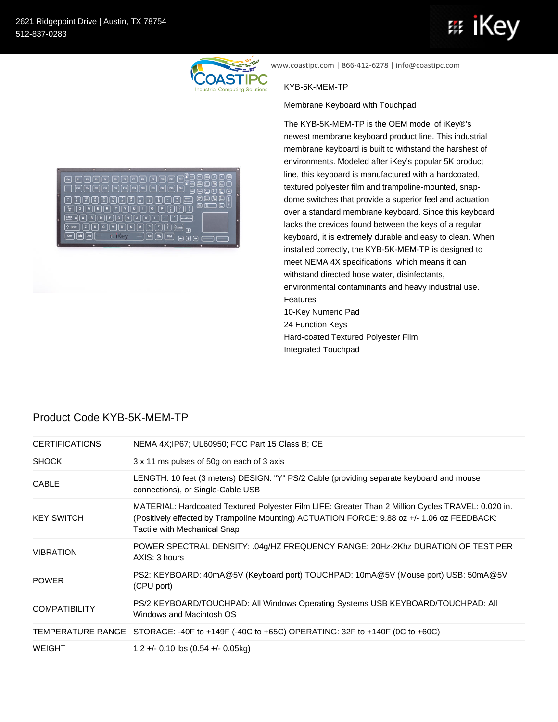$\boxed{\text{Ctri}}\begin{bmatrix} \text{III} \end{bmatrix} \begin{bmatrix} \text{III} \end{bmatrix} \begin{bmatrix} \text{All} \end{bmatrix}$ 



www.coastipc.com | 866-412-6278 | info@coastipc.com

## KYB-5K-MEM-TP

Membrane Keyboard with Touchpad

The KYB-5K-MEM-TP is the OEM model of iKey®'s newest membrane keyboard product line. This industrial membrane keyboard is built to withstand the harshest of environments. Modeled after iKey's popular 5K product line, this keyboard is manufactured with a hardcoated, textured polyester film and trampoline-mounted, snapdome switches that provide a superior feel and actuation over a standard membrane keyboard. Since this keyboard lacks the crevices found between the keys of a regular keyboard, it is extremely durable and easy to clean. When installed correctly, the KYB-5K-MEM-TP is designed to meet NEMA 4X specifications, which means it can withstand directed hose water, disinfectants, environmental contaminants and heavy industrial use. Features 10-Key Numeric Pad 24 Function Keys Hard-coated Textured Polyester Film Integrated Touchpad

|  | Product Code KYB-5K-MEM-TP |  |
|--|----------------------------|--|
|  |                            |  |

e oooo oooo oooo;{  $\color{red}\blacksquare \colorbox{blue}\square \colorbox{blue}\square \colorbox{blue}\square \colorbox{blue}\square \colorbox{blue}\square \colorbox{blue}\square \colorbox{blue}\square \colorbox{blue}\square \colorbox{blue}\square \colorbox{blue}\square \colorbox{blue}\square \colorbox{blue}\square \colorbox{blue}\square \colorbox{blue}\square \colorbox{blue}\square \colorbox{blue}\square \colorbox{blue}\square \colorbox{blue}\square \colorbox{blue}\square \colorbox{blue}\square \colorbox{blue}\square \colorbox{blue}\square \colorbox{blue}\square \colorbox{blue}\square \colorbox{blue}\square \colorbox{blue}\square \colorbox{blue}\square \colorbox{blue}\square \colorbox{blue}\square \colorbox{blue}\square \color$  ${\color{red} \textbf{E} \color{green} \color{green} \textbf{O} \color{green} \textbf{V} \color{green} \textbf{E} \color{green} \textbf{D} \color{green} \textbf{O} \color{green} \textbf{O} \color{green} \textbf{O} \color{green} \textbf{D} \color{green} \textbf{O} \color{green} \textbf{D} \color{green} \textbf{O} \color{green} \textbf{D} \color{green} \textbf{O} \color{green} \textbf{D} \color{green} \textbf{A} \color{green} \textbf{D} \color{green} \textbf{A} \color{green} \textbf{D} \color{green} \$  $\begin{picture}(130,10) \put(0,0){\line(1,0){10}} \put(15,0){\line(1,0){10}} \put(15,0){\line(1,0){10}} \put(15,0){\line(1,0){10}} \put(15,0){\line(1,0){10}} \put(15,0){\line(1,0){10}} \put(15,0){\line(1,0){10}} \put(15,0){\line(1,0){10}} \put(15,0){\line(1,0){10}} \put(15,0){\line(1,0){10}} \put(15,0){\line(1,0){10}} \put(15,0){\line($  $\overbrace{\mathfrak{g}_{\mathsf{SMH}}\boxdot\boxdot\boxdot\boxdot\boxdot\boxdot} \boxdot\boxdot\boxdot}$ 

# iKey

DEDE OO

| <b>CERTIFICATIONS</b> | NEMA 4X; IP67; UL60950; FCC Part 15 Class B; CE                                                                                                                                                                                   |
|-----------------------|-----------------------------------------------------------------------------------------------------------------------------------------------------------------------------------------------------------------------------------|
| <b>SHOCK</b>          | 3 x 11 ms pulses of 50g on each of 3 axis                                                                                                                                                                                         |
| <b>CABLE</b>          | LENGTH: 10 feet (3 meters) DESIGN: "Y" PS/2 Cable (providing separate keyboard and mouse<br>connections), or Single-Cable USB                                                                                                     |
| <b>KEY SWITCH</b>     | MATERIAL: Hardcoated Textured Polyester Film LIFE: Greater Than 2 Million Cycles TRAVEL: 0.020 in.<br>(Positively effected by Trampoline Mounting) ACTUATION FORCE: 9.88 oz +/- 1.06 oz FEEDBACK:<br>Tactile with Mechanical Snap |
| <b>VIBRATION</b>      | POWER SPECTRAL DENSITY: .04g/HZ FREQUENCY RANGE: 20Hz-2Khz DURATION OF TEST PER<br>AXIS: 3 hours                                                                                                                                  |
| <b>POWER</b>          | PS2: KEYBOARD: 40mA@5V (Keyboard port) TOUCHPAD: 10mA@5V (Mouse port) USB: 50mA@5V<br>(CPU port)                                                                                                                                  |
| <b>COMPATIBILITY</b>  | PS/2 KEYBOARD/TOUCHPAD: All Windows Operating Systems USB KEYBOARD/TOUCHPAD: All<br>Windows and Macintosh OS                                                                                                                      |
|                       | TEMPERATURE RANGE STORAGE: -40F to +149F (-40C to +65C) OPERATING: 32F to +140F (0C to +60C)                                                                                                                                      |
| <b>WEIGHT</b>         | $1.2 + (-0.10$ lbs $(0.54 + (-0.05)$ kg)                                                                                                                                                                                          |